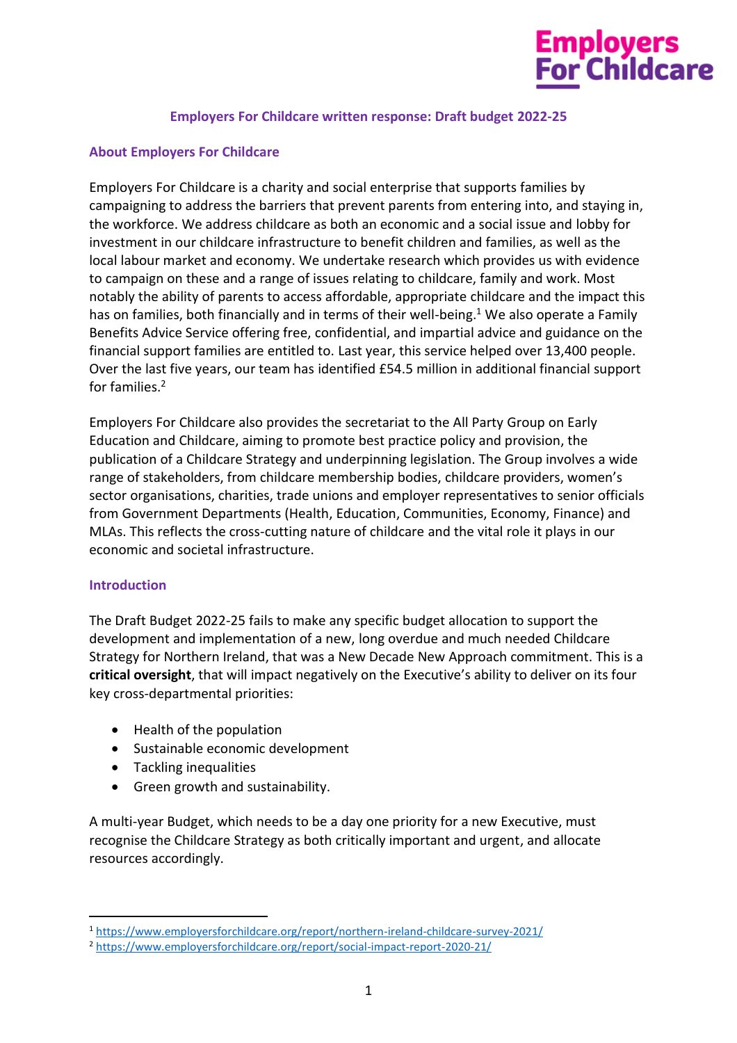# **Employers<br>For Childcare**

#### **Employers For Childcare written response: Draft budget 2022-25**

#### **About Employers For Childcare**

Employers For Childcare is a charity and social enterprise that supports families by campaigning to address the barriers that prevent parents from entering into, and staying in, the workforce. We address childcare as both an economic and a social issue and lobby for investment in our childcare infrastructure to benefit children and families, as well as the local labour market and economy. We undertake research which provides us with evidence to campaign on these and a range of issues relating to childcare, family and work. Most notably the ability of parents to access affordable, appropriate childcare and the impact this has on families, both financially and in terms of their well-being.<sup>1</sup> We also operate a Family Benefits Advice Service offering free, confidential, and impartial advice and guidance on the financial support families are entitled to. Last year, this service helped over 13,400 people. Over the last five years, our team has identified £54.5 million in additional financial support for families. 2

Employers For Childcare also provides the secretariat to the All Party Group on Early Education and Childcare, aiming to promote best practice policy and provision, the publication of a Childcare Strategy and underpinning legislation. The Group involves a wide range of stakeholders, from childcare membership bodies, childcare providers, women's sector organisations, charities, trade unions and employer representatives to senior officials from Government Departments (Health, Education, Communities, Economy, Finance) and MLAs. This reflects the cross-cutting nature of childcare and the vital role it plays in our economic and societal infrastructure.

#### **Introduction**

The Draft Budget 2022-25 fails to make any specific budget allocation to support the development and implementation of a new, long overdue and much needed Childcare Strategy for Northern Ireland, that was a New Decade New Approach commitment. This is a **critical oversight**, that will impact negatively on the Executive's ability to deliver on its four key cross-departmental priorities:

- Health of the population
- Sustainable economic development
- Tackling inequalities
- Green growth and sustainability.

A multi-year Budget, which needs to be a day one priority for a new Executive, must recognise the Childcare Strategy as both critically important and urgent, and allocate resources accordingly.

<sup>1</sup> <https://www.employersforchildcare.org/report/northern-ireland-childcare-survey-2021/>

<sup>2</sup> <https://www.employersforchildcare.org/report/social-impact-report-2020-21/>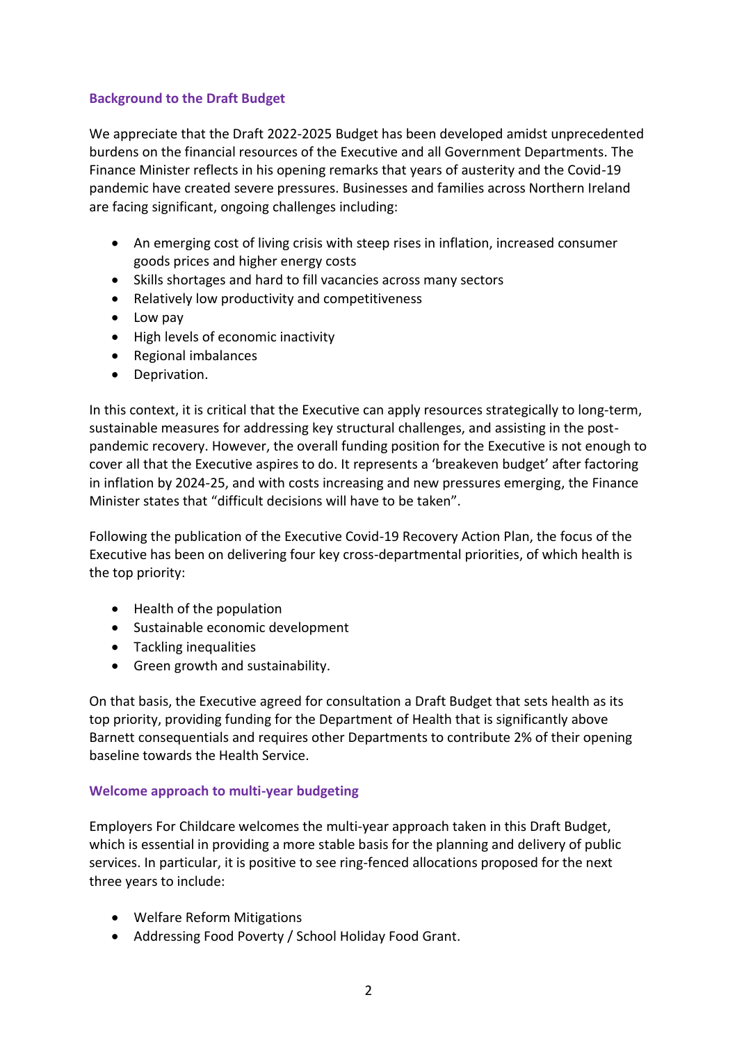## **Background to the Draft Budget**

We appreciate that the Draft 2022-2025 Budget has been developed amidst unprecedented burdens on the financial resources of the Executive and all Government Departments. The Finance Minister reflects in his opening remarks that years of austerity and the Covid-19 pandemic have created severe pressures. Businesses and families across Northern Ireland are facing significant, ongoing challenges including:

- An emerging cost of living crisis with steep rises in inflation, increased consumer goods prices and higher energy costs
- Skills shortages and hard to fill vacancies across many sectors
- Relatively low productivity and competitiveness
- Low pay
- High levels of economic inactivity
- Regional imbalances
- Deprivation.

In this context, it is critical that the Executive can apply resources strategically to long-term, sustainable measures for addressing key structural challenges, and assisting in the postpandemic recovery. However, the overall funding position for the Executive is not enough to cover all that the Executive aspires to do. It represents a 'breakeven budget' after factoring in inflation by 2024-25, and with costs increasing and new pressures emerging, the Finance Minister states that "difficult decisions will have to be taken".

Following the publication of the Executive Covid-19 Recovery Action Plan, the focus of the Executive has been on delivering four key cross-departmental priorities, of which health is the top priority:

- Health of the population
- Sustainable economic development
- Tackling inequalities
- Green growth and sustainability.

On that basis, the Executive agreed for consultation a Draft Budget that sets health as its top priority, providing funding for the Department of Health that is significantly above Barnett consequentials and requires other Departments to contribute 2% of their opening baseline towards the Health Service.

## **Welcome approach to multi-year budgeting**

Employers For Childcare welcomes the multi-year approach taken in this Draft Budget, which is essential in providing a more stable basis for the planning and delivery of public services. In particular, it is positive to see ring-fenced allocations proposed for the next three years to include:

- Welfare Reform Mitigations
- Addressing Food Poverty / School Holiday Food Grant.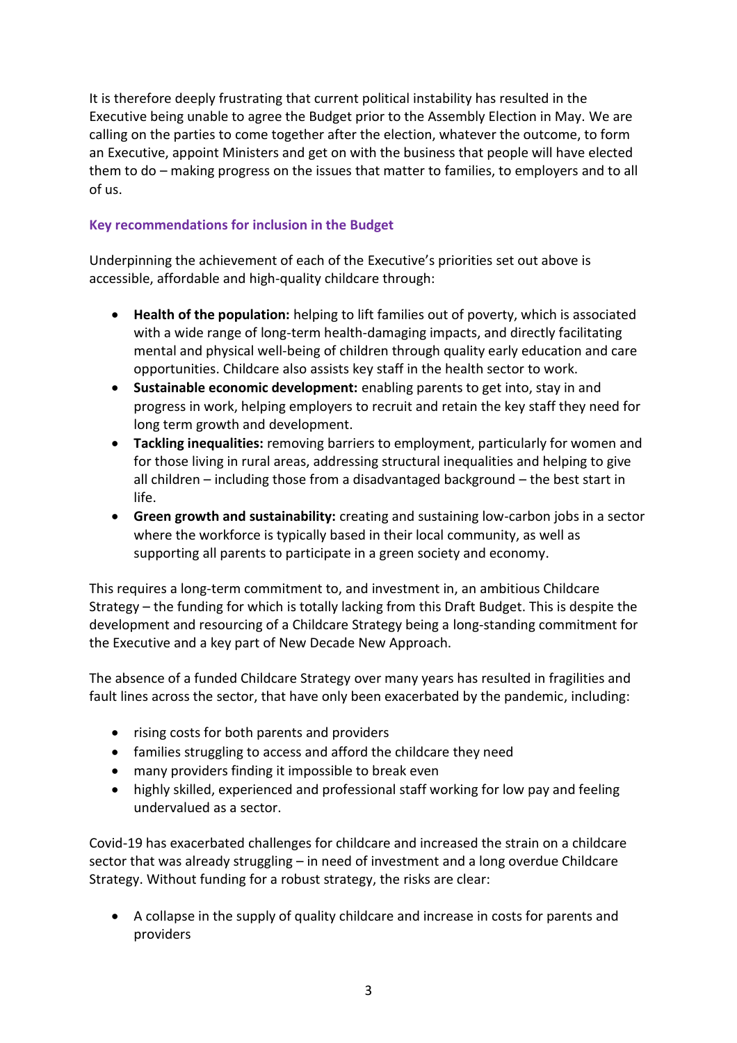It is therefore deeply frustrating that current political instability has resulted in the Executive being unable to agree the Budget prior to the Assembly Election in May. We are calling on the parties to come together after the election, whatever the outcome, to form an Executive, appoint Ministers and get on with the business that people will have elected them to do – making progress on the issues that matter to families, to employers and to all of us.

## **Key recommendations for inclusion in the Budget**

Underpinning the achievement of each of the Executive's priorities set out above is accessible, affordable and high-quality childcare through:

- **Health of the population:** helping to lift families out of poverty, which is associated with a wide range of long-term health-damaging impacts, and directly facilitating mental and physical well-being of children through quality early education and care opportunities. Childcare also assists key staff in the health sector to work.
- **Sustainable economic development:** enabling parents to get into, stay in and progress in work, helping employers to recruit and retain the key staff they need for long term growth and development.
- **Tackling inequalities:** removing barriers to employment, particularly for women and for those living in rural areas, addressing structural inequalities and helping to give all children – including those from a disadvantaged background – the best start in life.
- **Green growth and sustainability:** creating and sustaining low-carbon jobs in a sector where the workforce is typically based in their local community, as well as supporting all parents to participate in a green society and economy.

This requires a long-term commitment to, and investment in, an ambitious Childcare Strategy – the funding for which is totally lacking from this Draft Budget. This is despite the development and resourcing of a Childcare Strategy being a long-standing commitment for the Executive and a key part of New Decade New Approach.

The absence of a funded Childcare Strategy over many years has resulted in fragilities and fault lines across the sector, that have only been exacerbated by the pandemic, including:

- rising costs for both parents and providers
- families struggling to access and afford the childcare they need
- many providers finding it impossible to break even
- highly skilled, experienced and professional staff working for low pay and feeling undervalued as a sector.

Covid-19 has exacerbated challenges for childcare and increased the strain on a childcare sector that was already struggling – in need of investment and a long overdue Childcare Strategy. Without funding for a robust strategy, the risks are clear:

• A collapse in the supply of quality childcare and increase in costs for parents and providers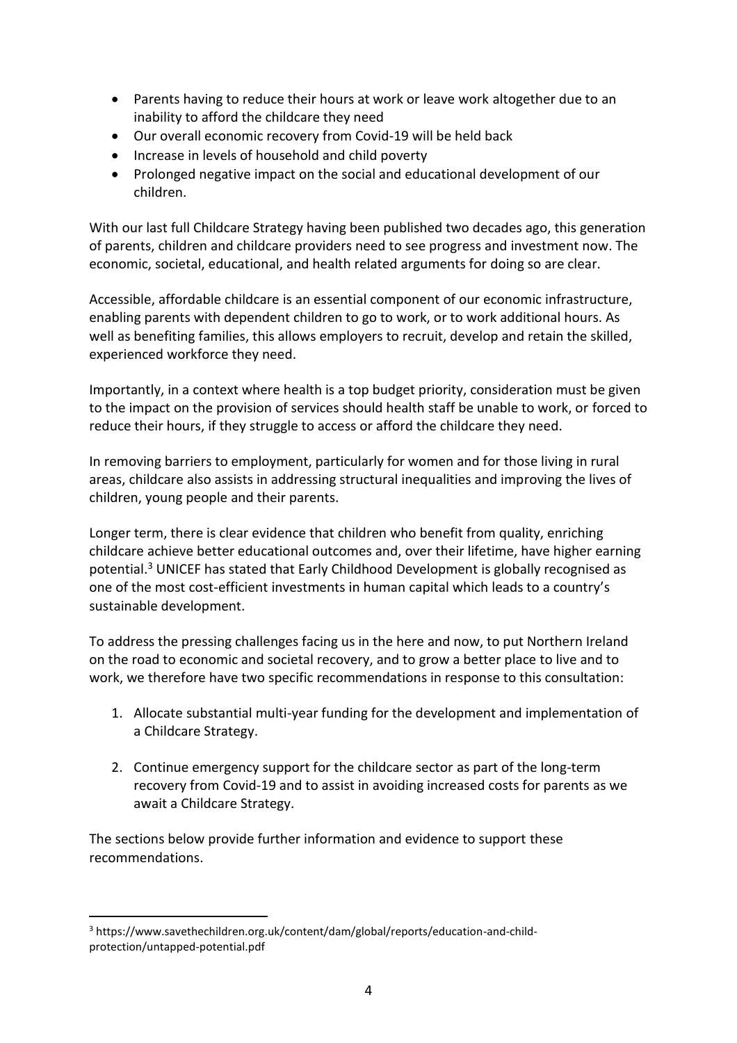- Parents having to reduce their hours at work or leave work altogether due to an inability to afford the childcare they need
- Our overall economic recovery from Covid-19 will be held back
- Increase in levels of household and child poverty
- Prolonged negative impact on the social and educational development of our children.

With our last full Childcare Strategy having been published two decades ago, this generation of parents, children and childcare providers need to see progress and investment now. The economic, societal, educational, and health related arguments for doing so are clear.

Accessible, affordable childcare is an essential component of our economic infrastructure, enabling parents with dependent children to go to work, or to work additional hours. As well as benefiting families, this allows employers to recruit, develop and retain the skilled, experienced workforce they need.

Importantly, in a context where health is a top budget priority, consideration must be given to the impact on the provision of services should health staff be unable to work, or forced to reduce their hours, if they struggle to access or afford the childcare they need.

In removing barriers to employment, particularly for women and for those living in rural areas, childcare also assists in addressing structural inequalities and improving the lives of children, young people and their parents.

Longer term, there is clear evidence that children who benefit from quality, enriching childcare achieve better educational outcomes and, over their lifetime, have higher earning potential.<sup>3</sup> UNICEF has stated that Early Childhood Development is globally recognised as one of the most cost-efficient investments in human capital which leads to a country's sustainable development.

To address the pressing challenges facing us in the here and now, to put Northern Ireland on the road to economic and societal recovery, and to grow a better place to live and to work, we therefore have two specific recommendations in response to this consultation:

- 1. Allocate substantial multi-year funding for the development and implementation of a Childcare Strategy.
- 2. Continue emergency support for the childcare sector as part of the long-term recovery from Covid-19 and to assist in avoiding increased costs for parents as we await a Childcare Strategy.

The sections below provide further information and evidence to support these recommendations.

<sup>3</sup> https://www.savethechildren.org.uk/content/dam/global/reports/education-and-childprotection/untapped-potential.pdf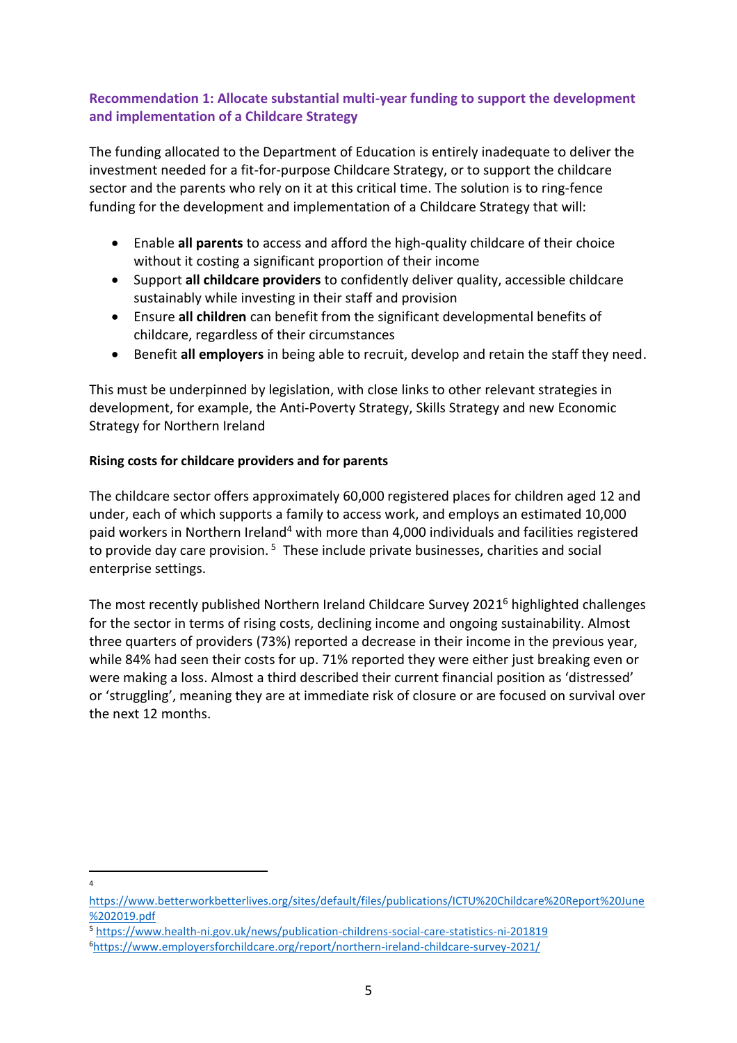# **Recommendation 1: Allocate substantial multi-year funding to support the development and implementation of a Childcare Strategy**

The funding allocated to the Department of Education is entirely inadequate to deliver the investment needed for a fit-for-purpose Childcare Strategy, or to support the childcare sector and the parents who rely on it at this critical time. The solution is to ring-fence funding for the development and implementation of a Childcare Strategy that will:

- Enable **all parents** to access and afford the high-quality childcare of their choice without it costing a significant proportion of their income
- Support **all childcare providers** to confidently deliver quality, accessible childcare sustainably while investing in their staff and provision
- Ensure **all children** can benefit from the significant developmental benefits of childcare, regardless of their circumstances
- Benefit **all employers** in being able to recruit, develop and retain the staff they need.

This must be underpinned by legislation, with close links to other relevant strategies in development, for example, the Anti-Poverty Strategy, Skills Strategy and new Economic Strategy for Northern Ireland

## **Rising costs for childcare providers and for parents**

The childcare sector offers approximately 60,000 registered places for children aged 12 and under, each of which supports a family to access work, and employs an estimated 10,000 paid workers in Northern Ireland<sup>4</sup> with more than 4,000 individuals and facilities registered to provide day care provision. <sup>5</sup> These include private businesses, charities and social enterprise settings.

The most recently published Northern Ireland Childcare Survey 2021 <sup>6</sup> highlighted challenges for the sector in terms of rising costs, declining income and ongoing sustainability. Almost three quarters of providers (73%) reported a decrease in their income in the previous year, while 84% had seen their costs for up. 71% reported they were either just breaking even or were making a loss. Almost a third described their current financial position as 'distressed' or 'struggling', meaning they are at immediate risk of closure or are focused on survival over the next 12 months.

4

[https://www.betterworkbetterlives.org/sites/default/files/publications/ICTU%20Childcare%20Report%20June](https://www.betterworkbetterlives.org/sites/default/files/publications/ICTU%20Childcare%20Report%20June%202019.pdf) [%202019.pdf](https://www.betterworkbetterlives.org/sites/default/files/publications/ICTU%20Childcare%20Report%20June%202019.pdf)

<sup>5</sup> <https://www.health-ni.gov.uk/news/publication-childrens-social-care-statistics-ni-201819>

<sup>6</sup><https://www.employersforchildcare.org/report/northern-ireland-childcare-survey-2021/>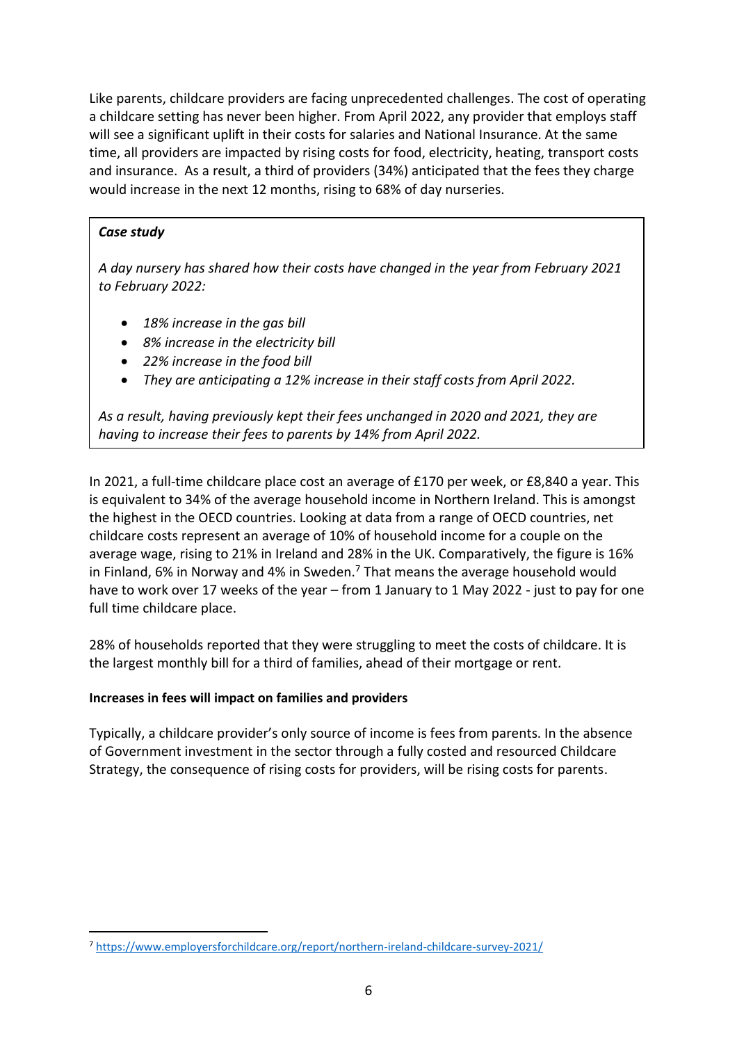Like parents, childcare providers are facing unprecedented challenges. The cost of operating a childcare setting has never been higher. From April 2022, any provider that employs staff will see a significant uplift in their costs for salaries and National Insurance. At the same time, all providers are impacted by rising costs for food, electricity, heating, transport costs and insurance. As a result, a third of providers (34%) anticipated that the fees they charge would increase in the next 12 months, rising to 68% of day nurseries.

## *Case study*

*A day nursery has shared how their costs have changed in the year from February 2021 to February 2022:*

- *18% increase in the gas bill*
- *8% increase in the electricity bill*
- *22% increase in the food bill*
- *They are anticipating a 12% increase in their staff costs from April 2022.*

*As a result, having previously kept their fees unchanged in 2020 and 2021, they are having to increase their fees to parents by 14% from April 2022.* 

In 2021, a full-time childcare place cost an average of £170 per week, or £8,840 a year. This is equivalent to 34% of the average household income in Northern Ireland. This is amongst the highest in the OECD countries. Looking at data from a range of OECD countries, net childcare costs represent an average of 10% of household income for a couple on the average wage, rising to 21% in Ireland and 28% in the UK. Comparatively, the figure is 16% in Finland, 6% in Norway and 4% in Sweden. $<sup>7</sup>$  That means the average household would</sup> have to work over 17 weeks of the year – from 1 January to 1 May 2022 - just to pay for one full time childcare place.

28% of households reported that they were struggling to meet the costs of childcare. It is the largest monthly bill for a third of families, ahead of their mortgage or rent.

## **Increases in fees will impact on families and providers**

Typically, a childcare provider's only source of income is fees from parents. In the absence of Government investment in the sector through a fully costed and resourced Childcare Strategy, the consequence of rising costs for providers, will be rising costs for parents.

<sup>7</sup> <https://www.employersforchildcare.org/report/northern-ireland-childcare-survey-2021/>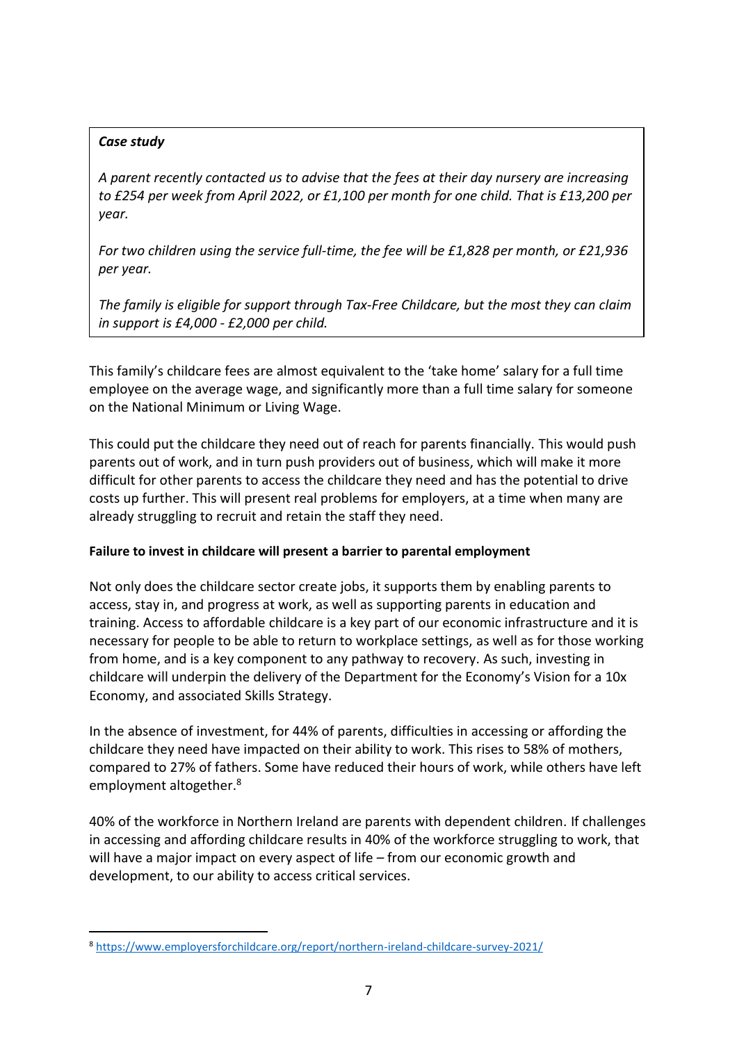## *Case study*

*A parent recently contacted us to advise that the fees at their day nursery are increasing to £254 per week from April 2022, or £1,100 per month for one child. That is £13,200 per year.*

*For two children using the service full-time, the fee will be £1,828 per month, or £21,936 per year.*

*The family is eligible for support through Tax-Free Childcare, but the most they can claim in support is £4,000 - £2,000 per child.* 

This family's childcare fees are almost equivalent to the 'take home' salary for a full time employee on the average wage, and significantly more than a full time salary for someone on the National Minimum or Living Wage.

This could put the childcare they need out of reach for parents financially. This would push parents out of work, and in turn push providers out of business, which will make it more difficult for other parents to access the childcare they need and has the potential to drive costs up further. This will present real problems for employers, at a time when many are already struggling to recruit and retain the staff they need.

## **Failure to invest in childcare will present a barrier to parental employment**

Not only does the childcare sector create jobs, it supports them by enabling parents to access, stay in, and progress at work, as well as supporting parents in education and training. Access to affordable childcare is a key part of our economic infrastructure and it is necessary for people to be able to return to workplace settings, as well as for those working from home, and is a key component to any pathway to recovery. As such, investing in childcare will underpin the delivery of the Department for the Economy's Vision for a 10x Economy, and associated Skills Strategy.

In the absence of investment, for 44% of parents, difficulties in accessing or affording the childcare they need have impacted on their ability to work. This rises to 58% of mothers, compared to 27% of fathers. Some have reduced their hours of work, while others have left employment altogether.<sup>8</sup>

40% of the workforce in Northern Ireland are parents with dependent children. If challenges in accessing and affording childcare results in 40% of the workforce struggling to work, that will have a major impact on every aspect of life – from our economic growth and development, to our ability to access critical services.

<sup>8</sup> <https://www.employersforchildcare.org/report/northern-ireland-childcare-survey-2021/>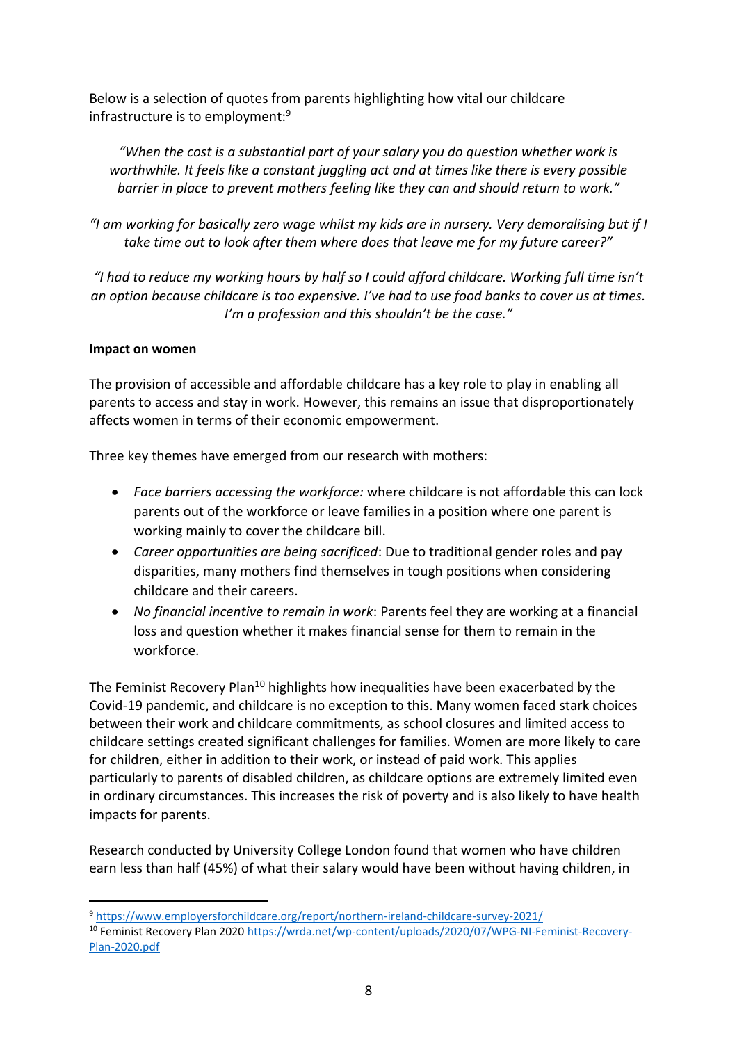Below is a selection of quotes from parents highlighting how vital our childcare infrastructure is to employment:<sup>9</sup>

*"When the cost is a substantial part of your salary you do question whether work is worthwhile. It feels like a constant juggling act and at times like there is every possible barrier in place to prevent mothers feeling like they can and should return to work."* 

*"I am working for basically zero wage whilst my kids are in nursery. Very demoralising but if I take time out to look after them where does that leave me for my future career?"*

*"I had to reduce my working hours by half so I could afford childcare. Working full time isn't an option because childcare is too expensive. I've had to use food banks to cover us at times. I'm a profession and this shouldn't be the case."*

## **Impact on women**

The provision of accessible and affordable childcare has a key role to play in enabling all parents to access and stay in work. However, this remains an issue that disproportionately affects women in terms of their economic empowerment.

Three key themes have emerged from our research with mothers:

- *Face barriers accessing the workforce:* where childcare is not affordable this can lock parents out of the workforce or leave families in a position where one parent is working mainly to cover the childcare bill.
- *Career opportunities are being sacrificed*: Due to traditional gender roles and pay disparities, many mothers find themselves in tough positions when considering childcare and their careers.
- *No financial incentive to remain in work*: Parents feel they are working at a financial loss and question whether it makes financial sense for them to remain in the workforce.

The Feminist Recovery Plan<sup>10</sup> highlights how inequalities have been exacerbated by the Covid-19 pandemic, and childcare is no exception to this. Many women faced stark choices between their work and childcare commitments, as school closures and limited access to childcare settings created significant challenges for families. Women are more likely to care for children, either in addition to their work, or instead of paid work. This applies particularly to parents of disabled children, as childcare options are extremely limited even in ordinary circumstances. This increases the risk of poverty and is also likely to have health impacts for parents.

Research conducted by University College London found that women who have children earn less than half (45%) of what their salary would have been without having children, in

<sup>9</sup> <https://www.employersforchildcare.org/report/northern-ireland-childcare-survey-2021/>

<sup>10</sup> Feminist Recovery Plan 2020 [https://wrda.net/wp-content/uploads/2020/07/WPG-NI-Feminist-Recovery-](https://wrda.net/wp-content/uploads/2020/07/WPG-NI-Feminist-Recovery-Plan-2020.pdf)[Plan-2020.pdf](https://wrda.net/wp-content/uploads/2020/07/WPG-NI-Feminist-Recovery-Plan-2020.pdf)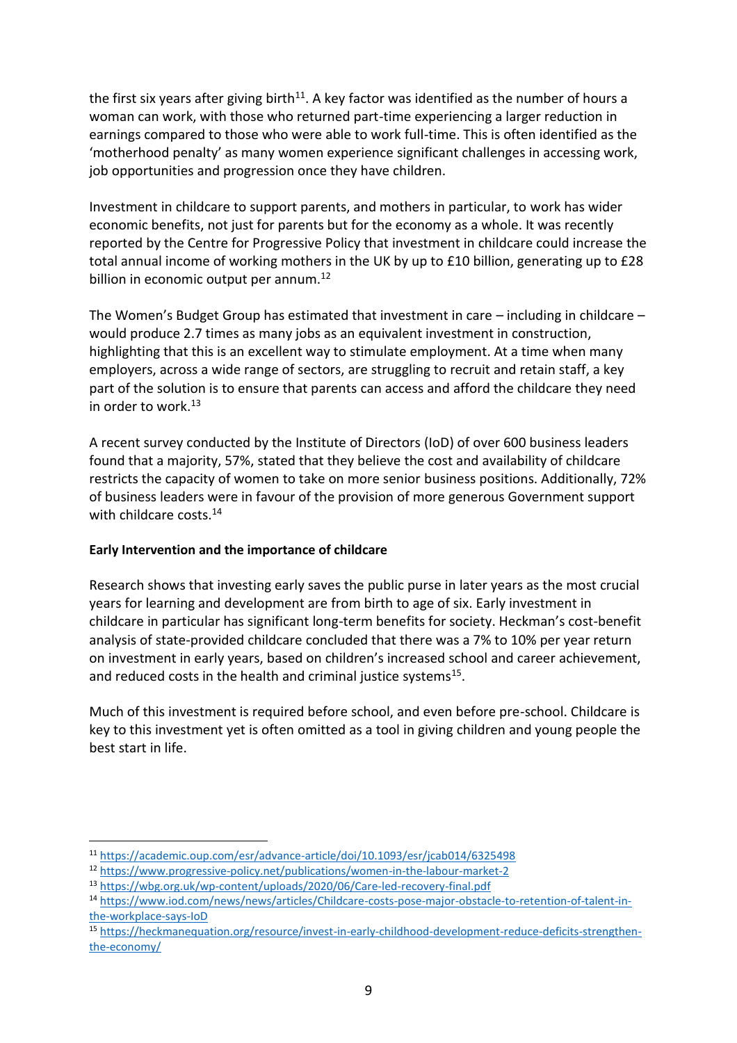the first six years after giving birth<sup>11</sup>. A key factor was identified as the number of hours a woman can work, with those who returned part-time experiencing a larger reduction in earnings compared to those who were able to work full-time. This is often identified as the 'motherhood penalty' as many women experience significant challenges in accessing work, job opportunities and progression once they have children.

Investment in childcare to support parents, and mothers in particular, to work has wider economic benefits, not just for parents but for the economy as a whole. It was recently reported by the Centre for Progressive Policy that investment in childcare could increase the total annual income of working mothers in the UK by up to £10 billion, generating up to £28 billion in economic output per annum.<sup>12</sup>

The Women's Budget Group has estimated that investment in care – including in childcare – would produce 2.7 times as many jobs as an equivalent investment in construction, highlighting that this is an excellent way to stimulate employment. At a time when many employers, across a wide range of sectors, are struggling to recruit and retain staff, a key part of the solution is to ensure that parents can access and afford the childcare they need in order to work.<sup>13</sup>

A recent survey conducted by the Institute of Directors (IoD) of over 600 business leaders found that a majority, 57%, stated that they believe the cost and availability of childcare restricts the capacity of women to take on more senior business positions. Additionally, 72% of business leaders were in favour of the provision of more generous Government support with childcare costs.<sup>14</sup>

#### **Early Intervention and the importance of childcare**

Research shows that investing early saves the public purse in later years as the most crucial years for learning and development are from birth to age of six. Early investment in childcare in particular has significant long-term benefits for society. Heckman's cost-benefit analysis of state-provided childcare concluded that there was a 7% to 10% per year return on investment in early years, based on children's increased school and career achievement, and reduced costs in the health and criminal justice systems<sup>15</sup>.

Much of this investment is required before school, and even before pre-school. Childcare is key to this investment yet is often omitted as a tool in giving children and young people the best start in life.

<sup>11</sup> <https://academic.oup.com/esr/advance-article/doi/10.1093/esr/jcab014/6325498>

<sup>12</sup> <https://www.progressive-policy.net/publications/women-in-the-labour-market-2>

<sup>13</sup> <https://wbg.org.uk/wp-content/uploads/2020/06/Care-led-recovery-final.pdf>

<sup>14</sup> [https://www.iod.com/news/news/articles/Childcare-costs-pose-major-obstacle-to-retention-of-talent-in](https://www.iod.com/news/news/articles/Childcare-costs-pose-major-obstacle-to-retention-of-talent-in-the-workplace-says-IoD)[the-workplace-says-IoD](https://www.iod.com/news/news/articles/Childcare-costs-pose-major-obstacle-to-retention-of-talent-in-the-workplace-says-IoD)

<sup>15</sup> [https://heckmanequation.org/resource/invest-in-early-childhood-development-reduce-deficits-strengthen](https://heckmanequation.org/resource/invest-in-early-childhood-development-reduce-deficits-strengthen-the-economy/)[the-economy/](https://heckmanequation.org/resource/invest-in-early-childhood-development-reduce-deficits-strengthen-the-economy/)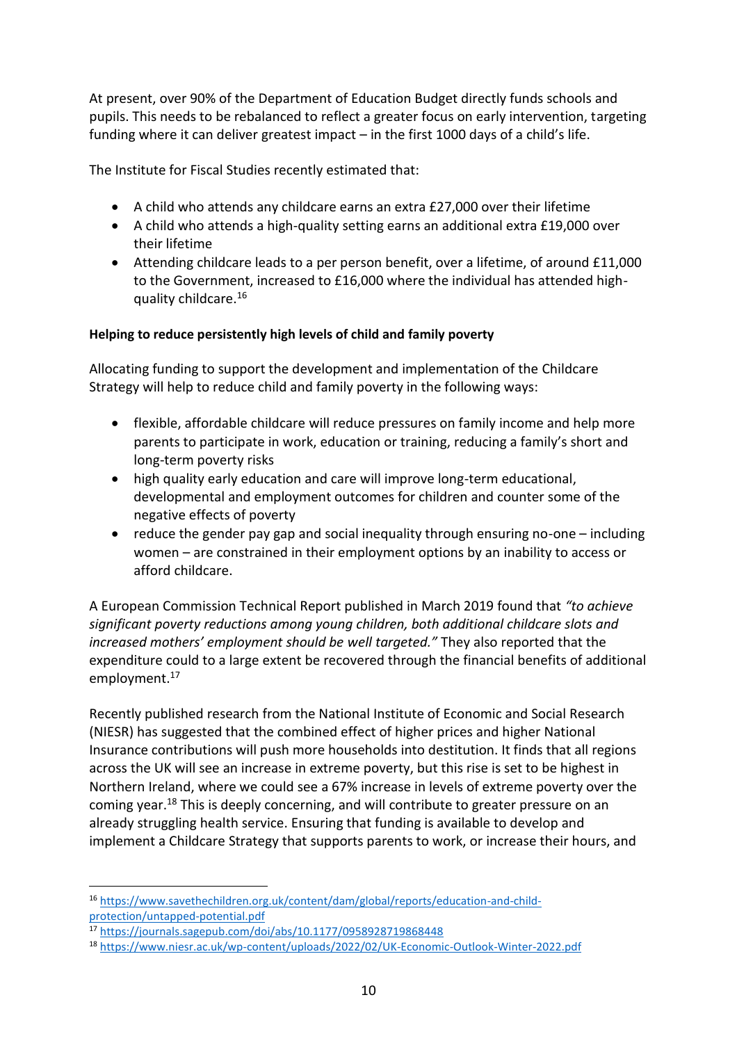At present, over 90% of the Department of Education Budget directly funds schools and pupils. This needs to be rebalanced to reflect a greater focus on early intervention, targeting funding where it can deliver greatest impact – in the first 1000 days of a child's life.

The Institute for Fiscal Studies recently estimated that:

- A child who attends any childcare earns an extra £27,000 over their lifetime
- A child who attends a high-quality setting earns an additional extra £19,000 over their lifetime
- Attending childcare leads to a per person benefit, over a lifetime, of around £11,000 to the Government, increased to £16,000 where the individual has attended highquality childcare.<sup>16</sup>

## **Helping to reduce persistently high levels of child and family poverty**

Allocating funding to support the development and implementation of the Childcare Strategy will help to reduce child and family poverty in the following ways:

- flexible, affordable childcare will reduce pressures on family income and help more parents to participate in work, education or training, reducing a family's short and long-term poverty risks
- high quality early education and care will improve long-term educational, developmental and employment outcomes for children and counter some of the negative effects of poverty
- reduce the gender pay gap and social inequality through ensuring no-one including women – are constrained in their employment options by an inability to access or afford childcare.

A European Commission Technical Report published in March 2019 found that *"to achieve significant poverty reductions among young children, both additional childcare slots and increased mothers' employment should be well targeted."* They also reported that the expenditure could to a large extent be recovered through the financial benefits of additional employment.<sup>17</sup>

Recently published research from the National Institute of Economic and Social Research (NIESR) has suggested that the combined effect of higher prices and higher National Insurance contributions will push more households into destitution. It finds that all regions across the UK will see an increase in extreme poverty, but this rise is set to be highest in Northern Ireland, where we could see a 67% increase in levels of extreme poverty over the coming year.<sup>18</sup> This is deeply concerning, and will contribute to greater pressure on an already struggling health service. Ensuring that funding is available to develop and implement a Childcare Strategy that supports parents to work, or increase their hours, and

<sup>16</sup> [https://www.savethechildren.org.uk/content/dam/global/reports/education-and-child](https://www.savethechildren.org.uk/content/dam/global/reports/education-and-child-protection/untapped-potential.pdf)[protection/untapped-potential.pdf](https://www.savethechildren.org.uk/content/dam/global/reports/education-and-child-protection/untapped-potential.pdf)

<sup>17</sup> <https://journals.sagepub.com/doi/abs/10.1177/0958928719868448>

<sup>18</sup> <https://www.niesr.ac.uk/wp-content/uploads/2022/02/UK-Economic-Outlook-Winter-2022.pdf>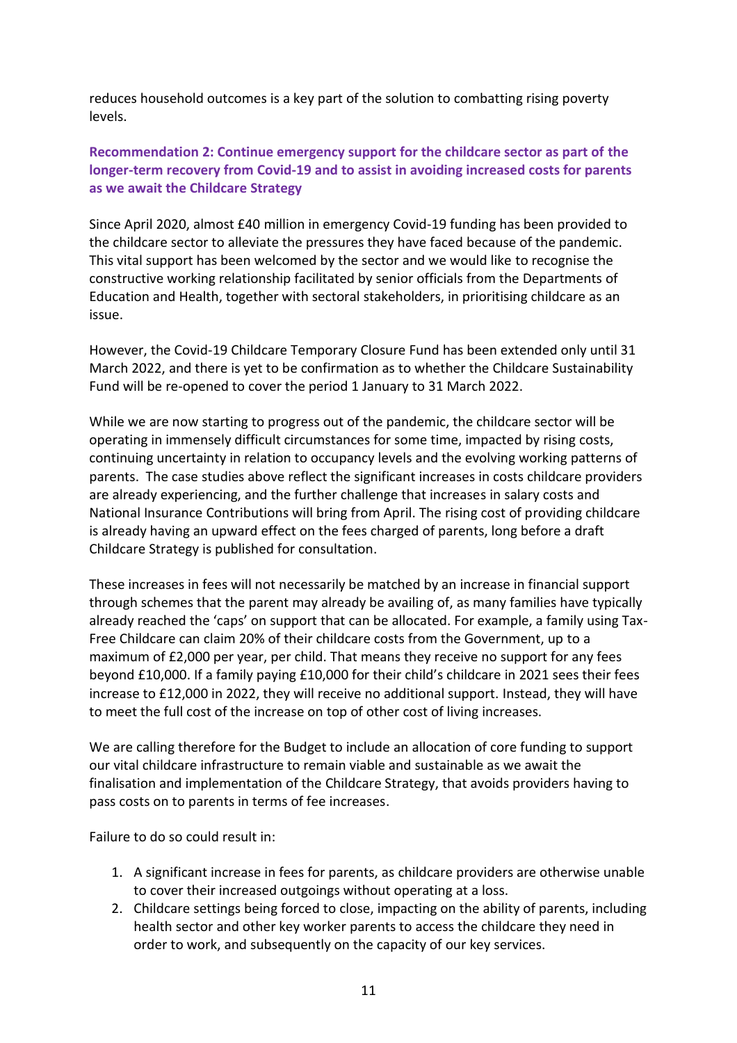reduces household outcomes is a key part of the solution to combatting rising poverty levels.

## **Recommendation 2: Continue emergency support for the childcare sector as part of the longer-term recovery from Covid-19 and to assist in avoiding increased costs for parents as we await the Childcare Strategy**

Since April 2020, almost £40 million in emergency Covid-19 funding has been provided to the childcare sector to alleviate the pressures they have faced because of the pandemic. This vital support has been welcomed by the sector and we would like to recognise the constructive working relationship facilitated by senior officials from the Departments of Education and Health, together with sectoral stakeholders, in prioritising childcare as an issue.

However, the Covid-19 Childcare Temporary Closure Fund has been extended only until 31 March 2022, and there is yet to be confirmation as to whether the Childcare Sustainability Fund will be re-opened to cover the period 1 January to 31 March 2022.

While we are now starting to progress out of the pandemic, the childcare sector will be operating in immensely difficult circumstances for some time, impacted by rising costs, continuing uncertainty in relation to occupancy levels and the evolving working patterns of parents. The case studies above reflect the significant increases in costs childcare providers are already experiencing, and the further challenge that increases in salary costs and National Insurance Contributions will bring from April. The rising cost of providing childcare is already having an upward effect on the fees charged of parents, long before a draft Childcare Strategy is published for consultation.

These increases in fees will not necessarily be matched by an increase in financial support through schemes that the parent may already be availing of, as many families have typically already reached the 'caps' on support that can be allocated. For example, a family using Tax-Free Childcare can claim 20% of their childcare costs from the Government, up to a maximum of £2,000 per year, per child. That means they receive no support for any fees beyond £10,000. If a family paying £10,000 for their child's childcare in 2021 sees their fees increase to £12,000 in 2022, they will receive no additional support. Instead, they will have to meet the full cost of the increase on top of other cost of living increases.

We are calling therefore for the Budget to include an allocation of core funding to support our vital childcare infrastructure to remain viable and sustainable as we await the finalisation and implementation of the Childcare Strategy, that avoids providers having to pass costs on to parents in terms of fee increases.

Failure to do so could result in:

- 1. A significant increase in fees for parents, as childcare providers are otherwise unable to cover their increased outgoings without operating at a loss.
- 2. Childcare settings being forced to close, impacting on the ability of parents, including health sector and other key worker parents to access the childcare they need in order to work, and subsequently on the capacity of our key services.